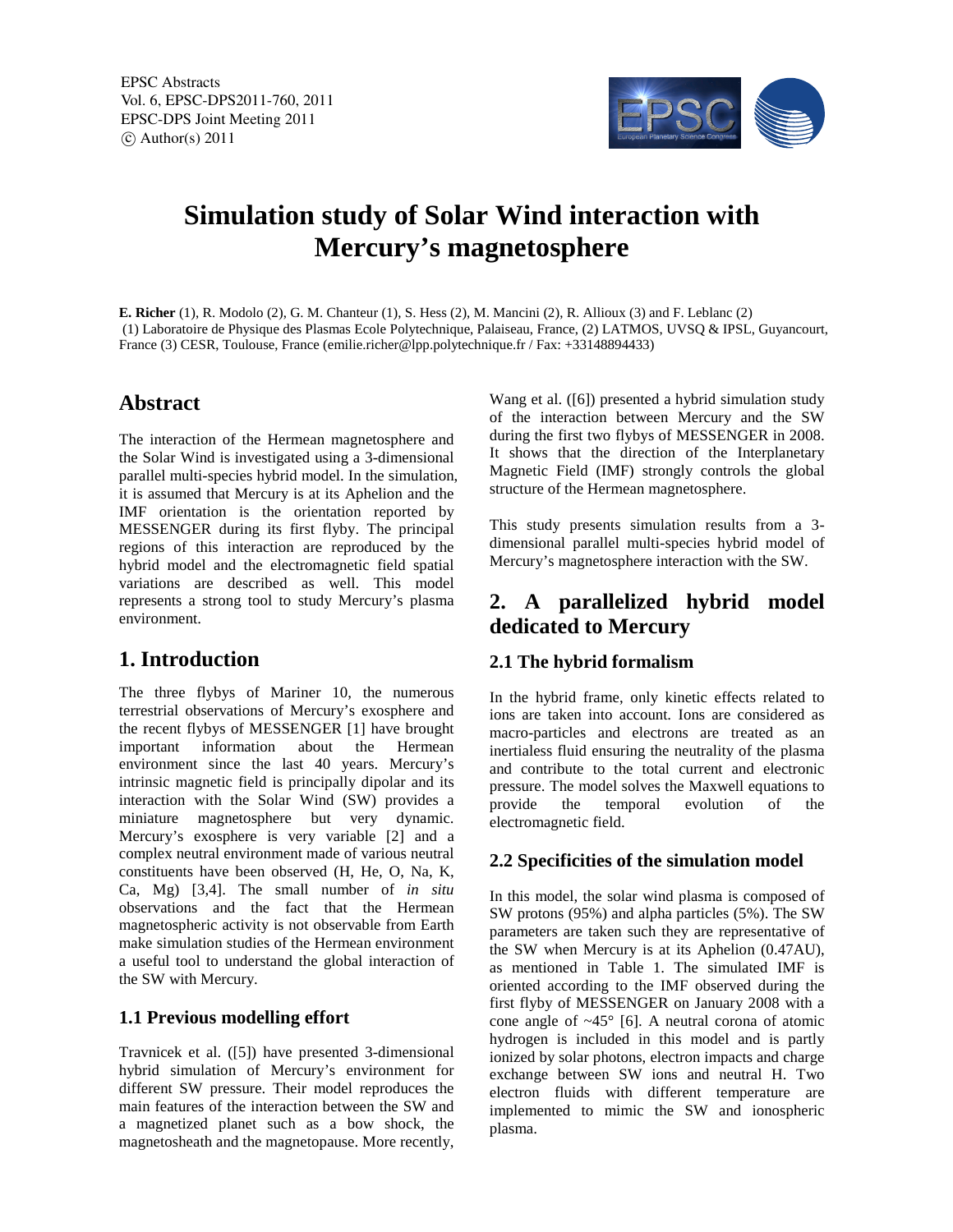EPSC Abstracts Vol. 6, EPSC-DPS2011-760, 2011 EPSC-DPS Joint Meeting 2011  $\circ$  Author(s) 2011



# **Simulation study of Solar Wind interaction with Mercury's magnetosphere**

**E. Richer** (1), R. Modolo (2), G. M. Chanteur (1), S. Hess (2), M. Mancini (2), R. Allioux (3) and F. Leblanc (2) (1) Laboratoire de Physique des Plasmas Ecole Polytechnique, Palaiseau, France, (2) LATMOS, UVSQ & IPSL, Guyancourt, France (3) CESR, Toulouse, France (emilie.richer@lpp.polytechnique.fr / Fax: +33148894433)

# **Abstract**

The interaction of the Hermean magnetosphere and the Solar Wind is investigated using a 3-dimensional parallel multi-species hybrid model. In the simulation, it is assumed that Mercury is at its Aphelion and the IMF orientation is the orientation reported by MESSENGER during its first flyby. The principal regions of this interaction are reproduced by the hybrid model and the electromagnetic field spatial variations are described as well. This model represents a strong tool to study Mercury's plasma environment.

# **1. Introduction**

The three flybys of Mariner 10, the numerous terrestrial observations of Mercury's exosphere and the recent flybys of MESSENGER [1] have brought important information about the Hermean environment since the last 40 years. Mercury's intrinsic magnetic field is principally dipolar and its interaction with the Solar Wind (SW) provides a miniature magnetosphere but very dynamic. Mercury's exosphere is very variable [2] and a complex neutral environment made of various neutral constituents have been observed (H, He, O, Na, K, Ca, Mg) [3,4]. The small number of *in situ* observations and the fact that the Hermean magnetospheric activity is not observable from Earth make simulation studies of the Hermean environment a useful tool to understand the global interaction of the SW with Mercury.

#### **1.1 Previous modelling effort**

Travnicek et al. ([5]) have presented 3-dimensional hybrid simulation of Mercury's environment for different SW pressure. Their model reproduces the main features of the interaction between the SW and a magnetized planet such as a bow shock, the magnetosheath and the magnetopause. More recently,

Wang et al. ([6]) presented a hybrid simulation study of the interaction between Mercury and the SW during the first two flybys of MESSENGER in 2008. It shows that the direction of the Interplanetary Magnetic Field (IMF) strongly controls the global structure of the Hermean magnetosphere.

This study presents simulation results from a 3 dimensional parallel multi-species hybrid model of Mercury's magnetosphere interaction with the SW.

# **2. A parallelized hybrid model dedicated to Mercury**

#### **2.1 The hybrid formalism**

In the hybrid frame, only kinetic effects related to ions are taken into account. Ions are considered as macro-particles and electrons are treated as an inertialess fluid ensuring the neutrality of the plasma and contribute to the total current and electronic pressure. The model solves the Maxwell equations to provide the temporal evolution of the electromagnetic field.

### **2.2 Specificities of the simulation model**

In this model, the solar wind plasma is composed of SW protons (95%) and alpha particles (5%). The SW parameters are taken such they are representative of the SW when Mercury is at its Aphelion (0.47AU), as mentioned in Table 1. The simulated IMF is oriented according to the IMF observed during the first flyby of MESSENGER on January 2008 with a cone angle of  $~45^{\circ}$  [6]. A neutral corona of atomic hydrogen is included in this model and is partly ionized by solar photons, electron impacts and charge exchange between SW ions and neutral H. Two electron fluids with different temperature are implemented to mimic the SW and ionospheric plasma.